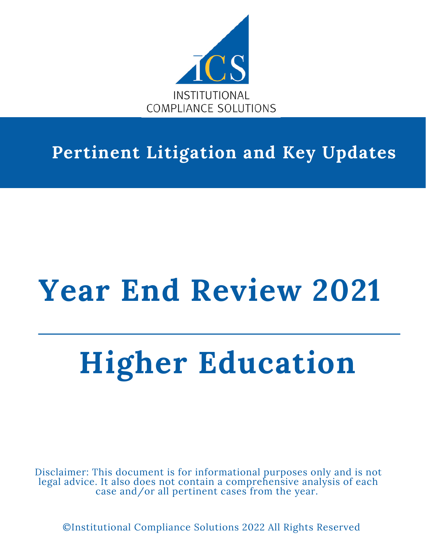

# **Pertinent Litigation and Key Updates**

# **Year End Review 2021**

# **Higher Education**

Disclaimer: This document is for informational purposes only and is not legal advice. It also does not contain a comprehensive analysis of each case and/or all pertinent cases from the year.

©Institutional Compliance Solutions 2022 All Rights Reserved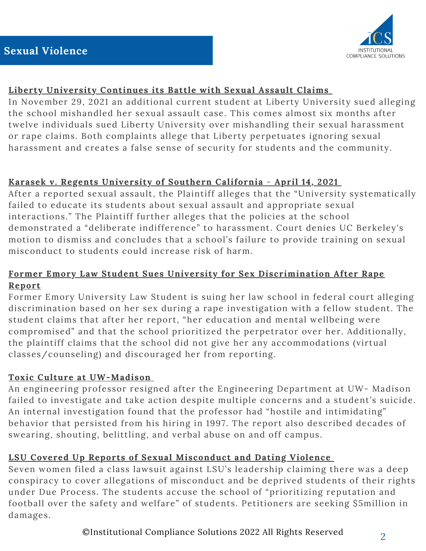

# **Liberty [University](https://www.insidehighered.com/sites/default/server_files/media/liberty_sexual_assault_does_lawsuit.pdf) Continues its Battle with Sexual Assault Claims**

In November 29, 2021 an additional current student at Liberty University sued alleging the school mishandled her sexual assault case. This comes almost six months after twelve individuals sued Liberty University over mishandling their sexual harassment or rape claims. Both complaints allege that Liberty perpetuates ignoring sexual harassment and creates a false sense of security for students and the community.

# **Karasek v. Regents [University](http://cdn.ca9.uscourts.gov/datastore/opinions/2020/01/30/18-15841.pdf) of Southern California** - **April 14, 2021**

After a reported sexual assault, the Plaintiff alleges that the "University systematically failed to educate its students about sexual assault and appropriate sexual interactions." The Plaintiff further alleges that the policies at the school demonstrated a "deliberate indifference" to harassment. Court denies UC Berkeley's motion to dismiss and concludes that a school's failure to provide training on sexual misconduct to students could increase risk of harm.

# **Former Emory Law Student Sues University for Sex [Discrimination](https://www.11alive.com/article/news/education/former-law-student-suing-emory-sexual-discrimination/85-546c617d-e542-472b-b05e-f1055454218d) After Rape Report**

Former Emory University Law Student is suing her law school in federal court alleging discrimination based on her sex during a rape investigation with a fellow student. The student claims that after her report, "her education and mental wellbeing were compromised" and that the school prioritized the perpetrator over her. Additionally, the plaintiff claims that the school did not give her any accommodations (virtual classes/counseling) and discouraged her from reporting.

# **Toxic Culture at [UW-Madison](https://madison.com/wsj/news/local/education/university/everyone-knew-problems-with-uw-madison-prof-who-led-toxic-lab-persisted-for-2-decades/article_cf4fd695-609d-5a93-be98-e3c30edbcb93.html)**

An engineering professor resigned after the Engineering Department at UW- Madison failed to investigate and take action despite multiple concerns and a student's suicide. An internal investigation found that the professor had "hostile and intimidating" behavior that persisted from his hiring in 1997. The report also described decades of swearing, shouting, belittling, and verbal abuse on and off campus.

# **LSU Covered Up Reports of Sexual [Misconduct](https://www.usatoday.com/story/news/investigations/2021/04/26/lsu-conspired-cover-up-sexual-misconduct-seven-women-claim-suit/7381875002/) and Dating Violence**

Seven women filed a class lawsuit against LSU's leadership claiming there was a deep conspiracy to cover allegations of misconduct and be deprived students of their rights under Due Process. The students accuse the school of "prioritizing reputation and football over the safety and welfare" of students. Petitioners are seeking \$5million in damages.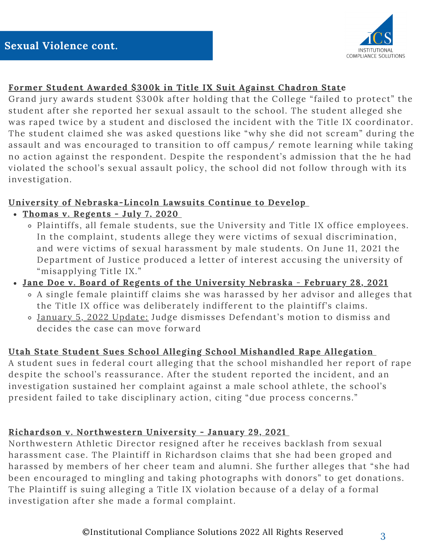

# **Former Student Awarded \$300k in Title IX Suit Against Chadron State**

Grand jury awards student \$300k after holding that the College "failed to protect" the student after she reported her sexual assault to the school. The student alleged she was raped twice by a student and disclosed the incident with the Title IX coordinator. The student claimed she was asked questions like "why she did not scream" during the assault and was encouraged to transition to off campus/ remote learning while taking no action against the respondent. Despite the respondent's admission that the he had violated the school's sexual assault policy, the school did not follow through with its investigation.

# **University of Nebraska-Lincoln Lawsuits Continue to Develop**

- **Thomas v. [Regents](https://nebraskapublicmedia.org/documents/84/072020_THOMAS_vs_REGENTS_Complaint.pdf) - July 7, 2020**
	- Plaintiffs, all female students, sue the University and Title IX office employees. In the complaint, students allege they were victims of sexual discrimination, and were victims of sexual harassment by male students. On June 11, 2021 the Department of Justice produced a letter of [interest](https://storage.courtlistener.com/recap/gov.uscourts.ned.88271/gov.uscourts.ned.88271.47.0.pdf) accusing the university of "misapplying Title IX."
- **Jane Doe v. Board of Regents of the [University](https://nebraskapublicmedia.org/documents/85/022821_DOE_vs_UNL_Complaint.pdf) Nebraska February 28, 2021**
	- A single female plaintiff claims she was harassed by her advisor and alleges that the Title IX office was deliberately indifferent to the plaintiff's claims.
	- January 5, 2022 Update: Judge dismisses Defendant's motion to dismiss and decides the case can move forward

# **Utah State Student Sues School Alleging School [Mishandled](https://www.deseret.com/utah/2021/12/15/22837885/usu-student-says-school-mishandled-her-report-of-rape-logan-utah-department-of-justice) Rape Allegation**

A student sues in federal court alleging that the school mishandled her report of rape despite the school's reassurance. After the student reported the incident, and an investigation sustained her complaint against a male school athlete, the school's president failed to take disciplinary action, citing "due process concerns."

# **Richardson v. [Northwestern](https://www.courthousenews.com/wp-content/uploads/2021/01/northwestern-cheerleader.pdf) University - January 29, 2021**

Northwestern Athletic Director resigned after he receives backlash from sexual harassment case. The Plaintiff in Richardson claims that she had been groped and harassed by members of her cheer team and alumni. She further alleges that "she had been encouraged to mingling and taking photographs with donors" to get donations. The Plaintiff is suing alleging a Title IX violation because of a delay of a formal investigation after she made a formal complaint.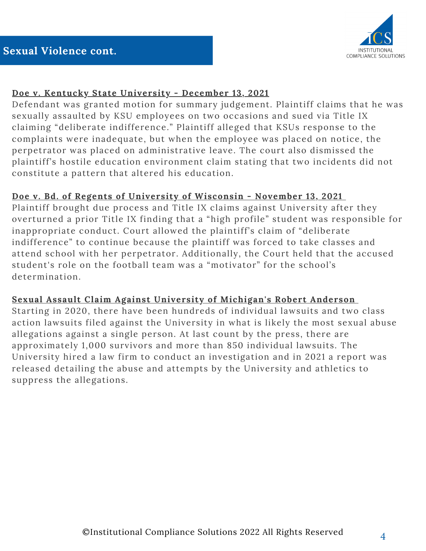# **Doe v. Kentucky State [University](https://public.fastcase.com/9SKwsfNqTc6OieYDhNMyM%2FUGND2Y4%2BepJBcfi0glTc4swEgwymqotqTm2y%2BqKo%2Bsr86OHVP7upyd72skCWMQng%3D%3D) - December 13, 2021**

Defendant was granted motion for summary judgement. Plaintiff claims that he was sexually assaulted by KSU employees on two occasions and sued via Title IX claiming "deliberate indifference." Plaintiff alleged that KSUs response to the complaints were inadequate, but when the employee was placed on notice, the perpetrator was placed on administrative leave. The court also dismissed the plaintiff's hostile education environment claim stating that two incidents did not constitute a pattern that altered his education.

# **Doe v. Bd. of Regents of [University](https://public.fastcase.com/9SKwsfNqTc6OieYDhNMyM7%2Fyoml71x3PxH2%2Fxu8p88azjdN4pbILcZc6Ih%2FyJ1HN7wH5eWvpTGY0SB8zwwkDwg%3D%3D) of Wisconsin - November 13, 2021**

Plaintiff brought due process and Title IX claims against University after they overturned a prior Title IX finding that a "high profile" student was responsible for inappropriate conduct. Court allowed the plaintiff's claim of "deliberate indifference" to continue because the plaintiff was forced to take classes and attend school with her perpetrator. Additionally, the Court held that the accused student's role on the football team was a "motivator" for the school's determination.

# **Sexual Assault Claim Against University of [Michigan's](https://www.michigandaily.com/news/administration/it-may-be-the-most-sexual-abuse-allegations-against-a-single-person-in-u-s-history-whats-happening-with-robert-anderson-case-litigation/) Robert Anderson**

Starting in 2020, there have been hundreds of individual lawsuits and two class action lawsuits filed against the University in what is likely the most sexual abuse allegations against a single person. At last count by the press, there are approximately 1,000 survivors and more than 850 individual lawsuits. The University hired a law firm to conduct an investigation and in 2021 a report was released detailing the abuse and attempts by the University and athletics to suppress the allegations.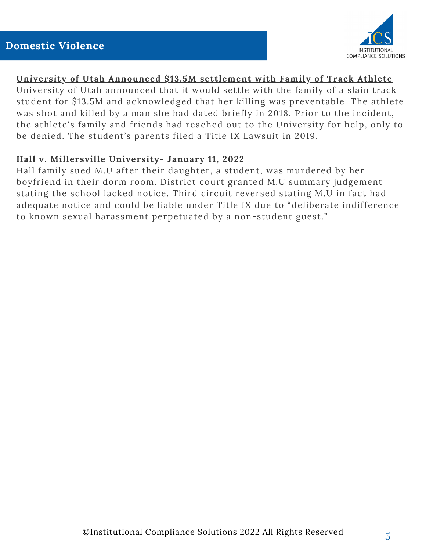

#### **University of Utah Announced \$13.5M settlement with Family of Track Athlete**

University of Utah announced that it would settle with the family of a slain track student for \$13.5M and acknowledged that her killing was preventable. The athlete was shot and killed by a man she had dated briefly in 2018. Prior to the incident, the athlete's family and friends had reached out to the University for help, only to be denied. The student's parents filed a Title IX Lawsuit in 2019.

# **Hall v. [Millersville](https://law.justia.com/cases/federal/appellate-courts/ca3/19-3275/19-3275-2022-01-11.html) University- January 11, 2022**

Hall family sued M.U after their daughter, a student, was murdered by her boyfriend in their dorm room. District court granted M.U summary judgement stating the school lacked notice. Third circuit reversed stating M.U in fact had adequate notice and could be liable under Title IX due to "deliberate indifference to known sexual harassment perpetuated by a non-student guest."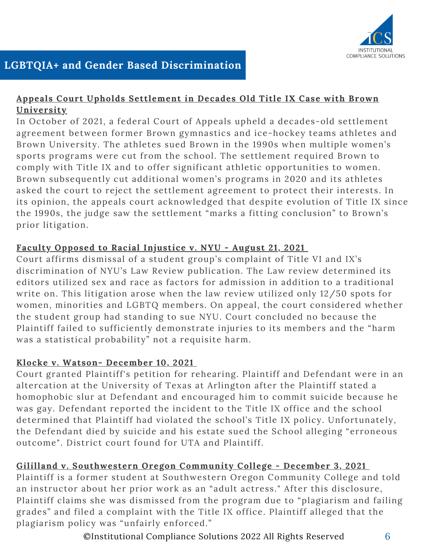

# **Appeals Court Upholds [Settlement](https://www.providencejournal.com/story/news/courts/2021/10/27/appeals-court-upholds-settlement-landmark-brown-gender-equity-case/8551760002/) in Decades Old Title IX Case with Brown University**

In October of 2021, a federal Court of Appeals upheld a decades-old settlement agreement between former Brown gymnastics and ice-hockey teams athletes and Brown University. The athletes sued Brown in the 1990s when multiple women's sports programs were cut from the school. The settlement required Brown to comply with Title IX and to offer significant athletic opportunities to women. Brown subsequently cut additional women's programs in 2020 and its athletes asked the court to reject the settlement agreement to protect their interests. In its opinion, the appeals court acknowledged that despite evolution of Title IX since the 1990s, the judge saw the settlement "marks a fitting conclusion" to Brown's prior litigation.

# **Faculty Opposed to Racial Injustice v. NYU - August 21, 2021**

Court affirms dismissal of a student group's complaint of Title VI and IX's discrimination of NYU's Law Review publication. The Law review determined its editors utilized sex and race as factors for admission in addition to a traditional write on. This litigation arose when the law review utilized only 12/50 spots for women, minorities and LGBTQ members. On appeal, the court considered whether the student group had standing to sue NYU. Court concluded no because the Plaintiff failed to sufficiently demonstrate injuries to its members and the "harm was a statistical probability" not a requisite harm.

# **Klocke v. [Watson](https://public.fastcase.com/9SKwsfNqTc6OieYDhNMyMwXH5NRyg4vDPKb5yaosHz%2Fdc%2B1EBBjbuDVPMkOr83bi58kGVogunl7u45aPzTVOkQ%3D%3D)- December 10, 2021**

Court granted Plaintiff's petition for rehearing. Plaintiff and Defendant were in an altercation at the University of Texas at Arlington after the Plaintiff stated a homophobic slur at Defendant and encouraged him to commit suicide because he was gay. Defendant reported the incident to the Title IX office and the school determined that Plaintiff had violated the school's Title IX policy. Unfortunately, the Defendant died by suicide and his estate sued the School alleging "erroneous outcome". District court found for UTA and Plaintiff.

# **Gililland v. [Southwestern](https://public.fastcase.com/9SKwsfNqTc6OieYDhNMyM%2BNd7DV8UHbuxBeONiqeEfDQS7ogWFU37jRCP2WNKRSRg9D%2BcEFwCqi9kHr%2B7gdn7g%3D%3D) Oregon Community College - December 3, 2021**

Plaintiff is a former student at Southwestern Oregon Community College and told an instructor about her prior work as an "adult actress." After this disclosure, Plaintiff claims she was dismissed from the program due to "plagiarism and failing grades" and filed a complaint with the Title IX office. Plaintiff alleged that the plagiarism policy was "unfairly enforced."

©Institutional Compliance Solutions 2022 All Rights Reserved 6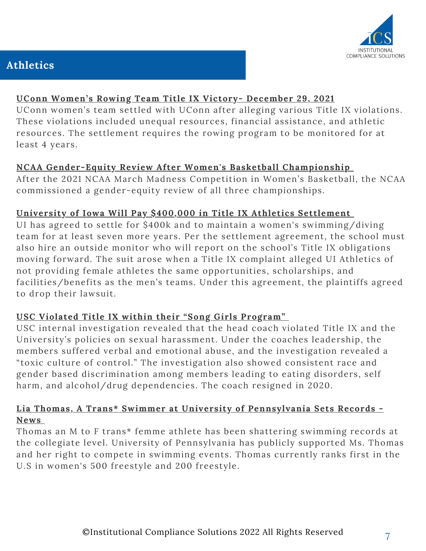

# **Athletics**

### **UConn [Women's](https://www.fox61.com/article/sports/ncaa/uconn/uconn-women-rowing-team-title-ix-lawsuit-settled/520-f1813425-de1b-40d0-937e-7dbee7937062) Rowing Team Title IX Victory- December 29, 2021**

UConn women's team settled with UConn after alleging various Title IX violations. These violations included unequal resources, financial assistance, and athletic resources. The settlement requires the rowing program to be monitored for at least 4 years.

#### **NCAA [Gender-Equity](https://www.nytimes.com/2021/08/03/sports/ncaabasketball/ncaa-gender-equity-investigation.html) Review After Women's Basketball Championship**

After the 2021 NCAA March Madness Competition in Women's Basketball, the NCAA commissioned a gender-equity review of all three championships.

# **University of Iowa Will Pay \$400,000 in Title IX Athletics [Settlement](https://www.thegazette.com/higher-education/university-of-iowa-will-pay-400k-via-title-ix-athletics-settlement/)**

UI has agreed to settle for \$400k and to maintain a women's swimming/diving team for at least seven more years. Per the settlement agreement, the school must also hire an outside monitor who will report on the school's Title IX obligations moving forward. The suit arose when a Title IX complaint alleged UI Athletics of not providing female athletes the same opportunities, scholarships, and facilities/benefits as the men's teams. Under this agreement, the plaintiffs agreed to drop their lawsuit.

# **USC Violated Title IX within their "Song Girls [Program"](https://dailytrojan.com/2021/09/26/song-girls-coach-violated-title-ix-policies/)**

USC internal investigation revealed that the head coach violated Title IX and the University's policies on sexual harassment. Under the coaches leadership, the members suffered verbal and emotional abuse, and the investigation revealed a "toxic culture of control." The investigation also showed consistent race and gender based discrimination among members leading to eating disorders, self harm, and alcohol/drug dependencies. The coach resigned in 2020.

#### **Lia Thomas, A Trans\* Swimmer at University of [Pennsylvania](https://www.swimmingworldmagazine.com/news/despite-repeated-inquiries-ncaa-remains-mum-on-lia-thomas-controversy/) Sets Records - News**

Thomas an M to F trans\* femme athlete has been shattering swimming records at the collegiate level. University of Pennsylvania has publicly supported Ms. Thomas and her right to compete in swimming events. Thomas currently ranks first in the U.S in women's 500 freestyle and 200 freestyle.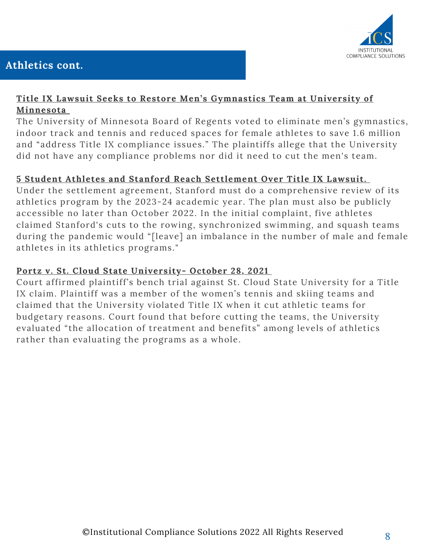

# **Athletics cont.**

# **Title IX Lawsuit Seeks to Restore Men's [Gymnastics](https://www.minnpost.com/sports/2021/11/whats-different-about-the-lawsuit-seeking-to-restore-mens-gymnastics-at-the-u-of-m/) Team at University of Minnesota**

The University of Minnesota Board of Regents voted to eliminate men's gymnastics, indoor track and tennis and reduced spaces for female athletes to save 1.6 million and "address Title IX compliance issues." The plaintiffs allege that the University did not have any compliance problems nor did it need to cut the men's team.

# **5 Student Athletes and Stanford Reach [Settlement](https://universitybusiness.com/5-student-athletes-stanford-reach-settlement-over-title-ix-lawsuit/) Over Title IX Lawsuit.**

Under the settlement agreement, Stanford must do a comprehensive review of its athletics program by the 2023-24 academic year. The plan must also be publicly accessible no later than October 2022. In the initial complaint, five athletes claimed Stanford's cuts to the rowing, synchronized swimming, and squash teams during the pandemic would "[leave] an imbalance in the number of male and female athletes in its athletics programs."

### **Portz v. St. Cloud State [University](https://public.fastcase.com/9SKwsfNqTc6OieYDhNMyM5hkuMULWC3%2FBwNUS4zw3Zx9G3bRUWd%2FG7G1oogVdJLpNTOeVCPvjNstDqNSQGX7lA%3D%3D)- October 28, 2021**

Court affirmed plaintiff's bench trial against St. Cloud State University for a Title IX claim. Plaintiff was a member of the women's tennis and skiing teams and claimed that the University violated Title IX when it cut athletic teams for budgetary reasons. Court found that before cutting the teams, the University evaluated "the allocation of treatment and benefits" among levels of athletics rather than evaluating the programs as a whole.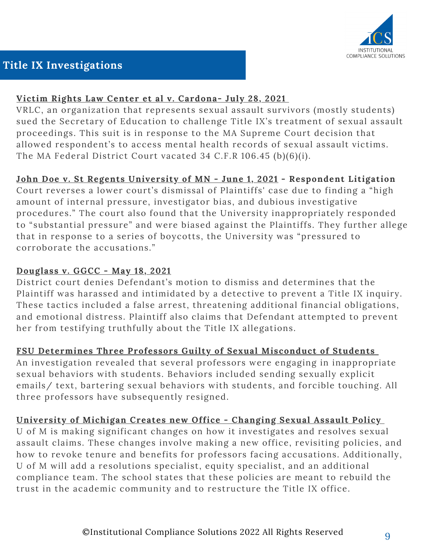

# **Title IX Investigations**

# **Victim Rights Law Center et al v. [Cardona](https://casetext.com/case/victim-rights-law-center-v-cardona)- July 28, 2021**

VRLC, an organization that represents sexual assault survivors (mostly students) sued the Secretary of Education to challenge Title IX's treatment of sexual assault proceedings. This suit is in response to the MA Supreme Court decision that allowed respondent's to access mental health records of sexual assault victims. The MA Federal District Court vacated 34 C.F.R 106.45 (b)(6)(i).

# **John Doe v. St Regents [University](https://ecf.ca8.uscourts.gov/opndir/21/06/192552P.pdf) of MN - June 1, 2021 - Respondent Litigation**

Court reverses a lower court's dismissal of Plaintiffs' case due to finding a "high amount of internal pressure, investigator bias, and dubious investigative procedures." The court also found that the University inappropriately responded to "substantial pressure" and were biased against the Plaintiffs. They further allege that in response to a series of boycotts, the University was "pressured to corroborate the accusations."

# **Douglass v. GGCC - May 18, 2021**

District court denies Defendant's motion to dismiss and determines that the Plaintiff was harassed and intimidated by a detective to prevent a Title IX inquiry. These tactics included a false arrest, threatening additional financial obligations, and emotional distress. Plaintiff also claims that Defendant attempted to prevent her from testifying truthfully about the Title IX allegations.

# **FSU Determines Three Professors Guilty of Sexual [Misconduct](https://www.wuft.org/news/2021/11/16/fsu-determines-three-professors-guilty-of-sexual-misconduct-with-students/) of Students**

An investigation revealed that several professors were engaging in inappropriate sexual behaviors with students. Behaviors included sending sexually explicit emails/ text, bartering sexual behaviors with students, and forcible touching. All three professors have subsequently resigned.

# **[University](https://amp-freep-com.cdn.ampproject.org/c/s/amp.freep.com/amp/7976602002) of Michigan Creates new Office - Changing Sexual Assault Policy**

U of M is making significant changes on how it investigates and resolves sexual assault claims. These changes involve making a new office, revisiting policies, and how to revoke tenure and benefits for professors facing accusations. Additionally, U of M will add a resolutions specialist, equity specialist, and an additional compliance team. The school states that these policies are meant to rebuild the trust in the academic community and to restructure the Title IX office.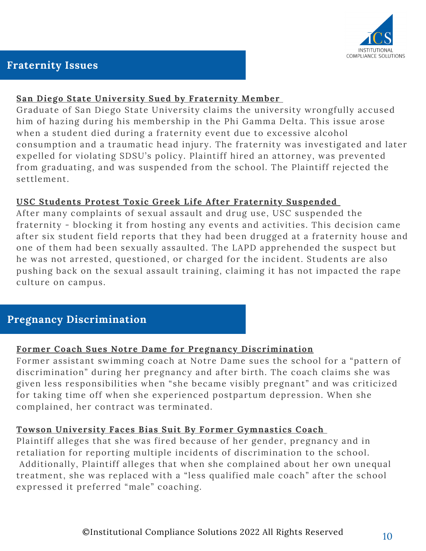

# **Fraternity Issues**

#### **San Diego State [University](https://www.sandiegouniontribune.com/news/education/story/2022-01-04/sdsu-graduate-fraternity-allegations) Sued by Fraternity Member**

Graduate of San Diego State University claims the university wrongfully accused him of hazing during his membership in the Phi Gamma Delta. This issue arose when a student died during a fraternity event due to excessive alcohol consumption and a traumatic head injury. The fraternity was investigated and later expelled for violating SDSU's policy. Plaintiff hired an attorney, was prevented from graduating, and was suspended from the school. The Plaintiff rejected the settlement.

#### **USC Students Protest Toxic Greek Life After Fraternity [Suspended](https://www.latimes.com/california/story/2021-10-22/usc-protests-intensify-after-fraternity-suspension-over-alleged-drugging-sexual-assault)**

After many complaints of sexual assault and drug use, USC suspended the fraternity - blocking it from hosting any events and activities. This decision came after six student field reports that they had been drugged at a fraternity house and one of them had been sexually assaulted. The LAPD apprehended the suspect but he was not arrested, questioned, or charged for the incident. Students are also pushing back on the sexual assault training, claiming it has not impacted the rape culture on campus.

# **Pregnancy Discrimination**

# **Former Coach Sues Notre Dame for Pregnancy [Discrimination](https://www.insidehighered.com/quicktakes/2021/05/21/former-coach-sues-notre-dame-pregnancy-discrimination)**

Former assistant swimming coach at Notre Dame sues the school for a "pattern of discrimination" during her pregnancy and after birth. The coach claims she was given less responsibilities when "she became visibly pregnant" and was criticized for taking time off when she experienced postpartum depression. When she complained, her contract was terminated.

# **Towson University Faces Bias Suit By Former [Gymnastics](https://www.bloomberglaw.com/bloomberglawnews/daily-labor-report/XBJ0ENL0000000?bna_news_filter=daily-labor-report#jcite) Coach**

Plaintiff alleges that she was fired because of her gender, pregnancy and in retaliation for reporting multiple incidents of discrimination to the school. Additionally, Plaintiff alleges that when she complained about her own unequal treatment, she was replaced with a "less qualified male coach" after the school expressed it preferred "male" coaching.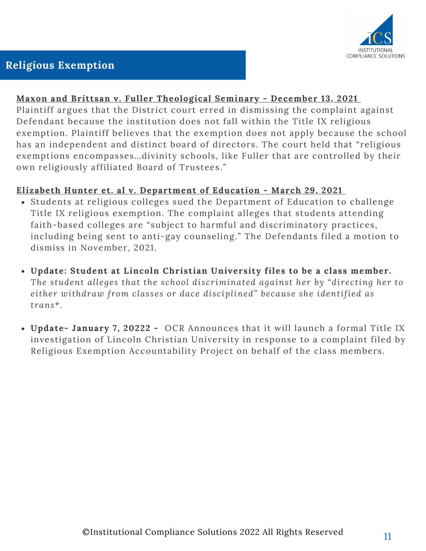

# **Religious Exemption**

#### **Maxon and Brittsan v. Fuller [Theological](http://cdn.ca9.uscourts.gov/datastore/memoranda/2021/12/13/20-56156.pdf) Seminary - December 13, 2021**

Plaintiff argues that the District court erred in dismissing the complaint against Defendant because the institution does not fall within the Title IX religious exemption. Plaintiff believes that the exemption does not apply because the school has an independent and distinct board of directors. The court held that "religious exemptions encompasses…divinity schools, like Fuller that are controlled by their own religiously affiliated Board of Trustees."

#### **Elizabeth Hunter et. al v. [Department](https://storage.courtlistener.com/recap/gov.uscourts.ord.159668/gov.uscourts.ord.159668.1.0_1.pdf) of Education - March 29, 2021**

- Students at religious colleges sued the Department of Education to challenge Title IX religious exemption. The complaint alleges that students attending faith-based colleges are "subject to harmful and discriminatory practices, including being sent to anti-gay counseling." The Defendants filed a motion to dismiss in November, 2021.
- **Update: Student at Lincoln Christian University files to be a class member.** *The student alleges that the school discriminated against her by "directing her to either withdraw from classes or dace disciplined" because she identified as trans*\*.
- **Update- January 7, 20222 -** [O](https://www.thereap.org/copy-of-press-release-1)CR [Announces](https://www.thereap.org/copy-of-press-release-1) that it will launch a formal Title IX investigation of Lincoln Christian University in response to a complaint filed by Religious Exemption Accountability Project on behalf of the class members.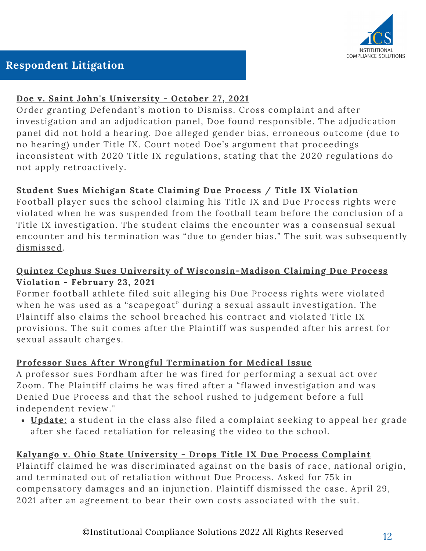

# **Respondent Litigation**

# **Doe v. Saint John's [University](https://public.fastcase.com/9SKwsfNqTc6OieYDhNMyM3PpgU0LVF9EJcZLxGdojeypS0nm3o94cjYN36XEeejkSzziIPJkgToTD6lbcqbZ%2FA%3D%3D) - October 27, 2021**

Order granting Defendant's motion to Dismiss. Cross complaint and after investigation and an adjudication panel, Doe found responsible. The adjudication panel did not hold a hearing. Doe alleged gender bias, erroneous outcome (due to no hearing) under Title IX. Court noted Doe's argument that proceedings inconsistent with 2020 Title IX regulations, stating that the 2020 regulations do not apply retroactively.

# **Student Sues [Michigan](https://www.mlive.com/spartans/2021/10/suspended-michigan-state-football-player-suing-university-amid-title-ix-investigation.html) State Claiming Due Process / Title IX Violation**

Football player sues the school claiming his Title IX and Due Process rights were violated when he was suspended from the football team before the conclusion of a Title IX investigation. The student claims the encounter was a consensual sexual encounter and his termination was "due to gender bias." The suit was subsequently [dismissed.](https://www.espn.com/college-football/story/_/id/32452813/judge-dismisses-title-ix-lawsuit-filed-michigan-state-spartans-football-player)

# **Quintez Cephus Sues University of [Wisconsin-Madison](https://www.channel3000.com/content/uploads/2021/02/Quintez-Cephus-Complaint.pdf) Claiming Due Process Violation - February 23, 2021**

Former football athlete filed suit alleging his Due Process rights were violated when he was used as a "scapegoat" during a sexual assault investigation. The Plaintiff also claims the school breached his contract and violated Title IX provisions. The suit comes after the Plaintiff was suspended after his arrest for sexual assault charges.

# **Professor Sues After Wrongful Termination for Medical Issue**

A professor sues Fordham after he was fired for performing a sexual act over Zoom. The Plaintiff claims he was fired after a "flawed investigation and was Denied Due Process and that the school rushed to judgement before a full independent review."

**[Update](https://storage.courtlistener.com/recap/gov.uscourts.nysd.566970/gov.uscourts.nysd.566970.1.0_2.pdf)**[:](https://storage.courtlistener.com/recap/gov.uscourts.nysd.566970/gov.uscourts.nysd.566970.1.0_2.pdf) a student in the class also filed a complaint seeking to appeal her grade after she faced retaliation for releasing the video to the school.

# **Kalyango v. Ohio State University - Drops Title IX Due Process Complaint**

Plaintiff claimed he was discriminated against on the basis of race, national origin, and terminated out of retaliation without Due Process. Asked for 75k in compensatory damages and an injunction. Plaintiff dismissed the case, April 29, 2021 after an agreement to bear their own costs associated with the suit.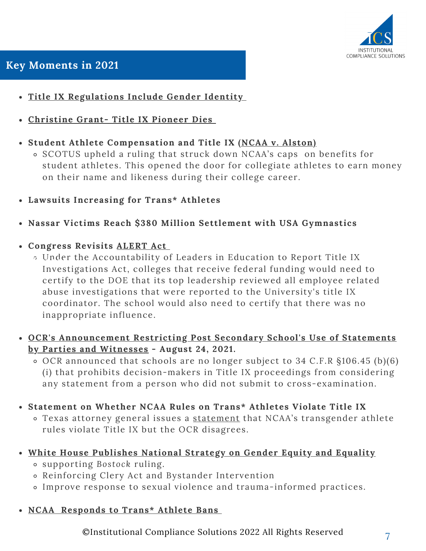

- **Title IX [Regulations](https://www.ed.gov/news/press-releases/us-department-education-confirms-title-ix-protects-students-discrimination-based-sexual-orientation-and-gender-identity) Include Gender Identity**
- **[Christine](https://www.nytimes.com/2022/01/06/sports/christine-grant-title-ix.html) Grant- Title IX Pioneer Dies**
- **Student Athlete Compensation and Title IX (NCAA v. [Alston\)](https://www.jdsupra.com/legalnews/from-student-athletes-to-players-a-6189761/)**
	- SCOTUS upheld a ruling that struck down NCAA's caps on benefits for student athletes. This opened the door for collegiate athletes to earn money on their name and likeness during their college career.
- **Lawsuits Increasing for Trans\* Athletes**
- **Nassar Victims Reach \$380 Million Settlement with USA Gymnastics**
- **Congress Revisits [ALERT](https://www.highereddive.com/news/bill-would-require-college-leaders-to-review-probes-into-claims-of-sexual-a/599545/) Act**
- Under the Accountability of Leaders in Education to Report Title IX **Due Process** Investigations Act, colleges that receive federal funding would need to certify to the DOE that its top leadership reviewed all employee related abuse investigations that were reported to the University's title IX coordinator. The school would also need to certify that there was no inappropriate influence.
	- **OCR's [Announcement](https://www2.ed.gov/about/offices/list/ocr/docs/202108-titleix-VRLC.pdf) Restricting Post Secondary School's Use of Statements by Parties and Witnesses - August 24, 2021.**
		- OCR announced that schools are no longer subject to 34 C.F.R §106.45 (b)(6) (i) that prohibits decision-makers in Title IX proceedings from considering any statement from a person who did not submit to cross-examination.
	- **Statement on Whether NCAA Rules on Trans\* Athletes Violate Title IX**
		- o Texas attorney general issues a [statement](https://texasattorneygeneral.gov/sites/default/files/opinion-files/opinion/2021/kp-0396.pdf) that NCAA's transgender athlete rules violate Title IX but the OCR disagrees.
	- **White House [Publishes](https://www.whitehouse.gov/wp-content/uploads/2021/10/National-Strategy-on-Gender-Equity-and-Equality.pdf) National Strategy on Gender Equity and Equality**
		- supporting *Bostock* ruling.
		- Reinforcing Clery Act and Bystander Intervention
		- Improve response to sexual violence and trauma-informed practices.
	- **[NCAA](https://www.ncaa.org/news/2021/4/12/ncaa-board-of-governors-statement-on-transgender-participation.aspx) [Responds](https://www.ncaa.org/news/2021/4/12/ncaa-board-of-governors-statement-on-transgender-participation.aspx) to Trans\* Athlete Bans**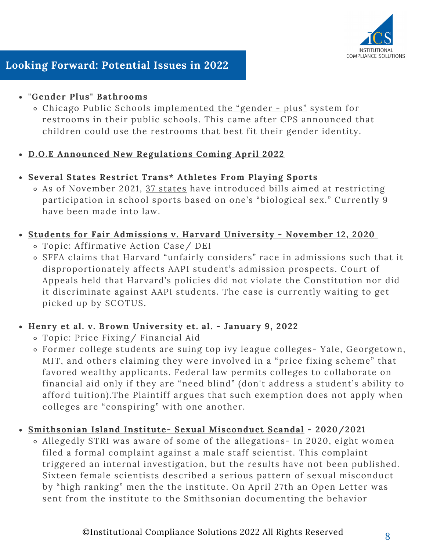

# **Looking Forward: Potential Issues in 2022**

# **"Gender Plus" Bathrooms**

Chicago Public Schools [implemented](https://titleixtips.com/are-gender-plus-bathrooms-new-and-how-should-schools-handle-them/) the "gender - plus" system for restrooms in their public schools. This came after CPS announced that children could use the restrooms that best fit their gender identity.

# **D.O.E Announced New [Regulations](https://www.highereddive.com/news/ed-dept-says-it-will-issue-a-new-title-ix-regulation/602310/) Coming April 2022**

- **Several States Restrict Trans\* Athletes From Playing Sports**
	- As of November 2021, 37 [states](https://www.usnews.com/news/best-states/articles/2021-12-01/these-states-restrict-how-transgender-students-participate-in-school-sports) have introduced bills aimed at restricting participation in school sports based on one's "biological sex." Currently 9 have been made into law.
- **Students for Fair [Admissions](https://scholar.google.com/scholar_case?case=3950037426341340384&hl=en&as_sdt=6&as_vis=1&oi=scholarr) v. Harvard University [-](https://scholar.google.com/scholar_case?case=3950037426341340384&hl=en&as_sdt=6&as_vis=1&oi=scholarr) November 12, 2020**
	- Topic: Affirmative Action Case/ DEI
- **O** SFFA claims that Harvard "unfairly considers" race in admissions such that it disproportionately affects AAPI student's admission prospects. Court of Appeals held that Harvard's policies did not violate the Constitution nor did it discriminate against AAPI students. The case is currently waiting to get picked up by SCOTUS.

# **Henry et al. v. Brown [University](https://storage.courtlistener.com/recap/gov.uscourts.ilnd.411049/gov.uscourts.ilnd.411049.1.0.pdf) et. al. - January 9, 2022**

- Topic: Price Fixing/ Financial Aid
- Former college students are suing top ivy league colleges- Yale, Georgetown, MIT, and others claiming they were involved in a "price fixing scheme" that favored wealthy applicants. Federal law permits colleges to collaborate on financial aid only if they are "need blind" (don't address a student's ability to afford tuition).The Plaintiff argues that such exemption does not apply when colleges are "conspiring" with one another.
- **[Smithsonian](https://www.buzzfeednews.com/article/nishitajha/smithsonian-tropical-research-institute-metoo) Island Institute- Sexual Misconduct Scandal - [2020/2021](https://www.buzzfeednews.com/article/nishitajha/smithsonian-tropical-research-institute-metoo)**
	- *A*llegedly STRI was aware of some of the allegations- In 2020, eight women filed a formal complaint against a male staff scientist. This complaint triggered an internal investigation, but the results have not been published. Sixteen female scientists described a serious pattern of sexual misconduct by "high ranking" men the the institute. On April 27th an Open Letter was sent from the institute to the Smithsonian documenting the behavior